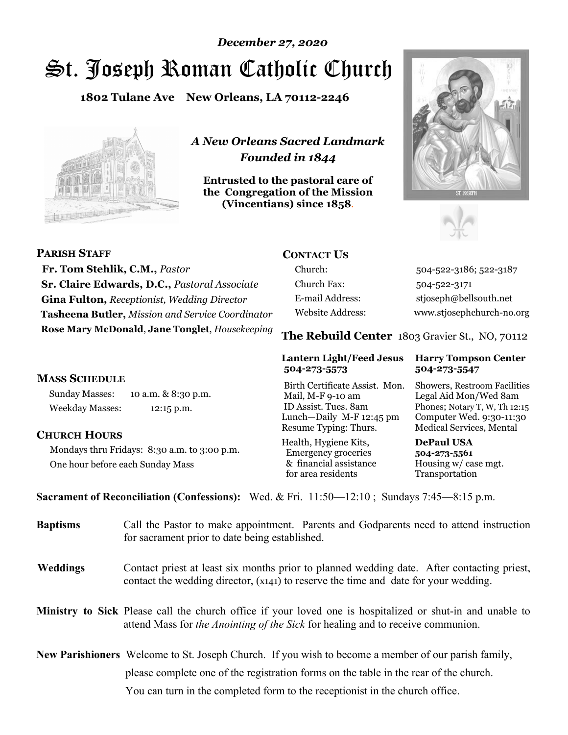#### *December 27, 2020*

# St. Joseph Roman Catholic Church

**1802 Tulane Ave New Orleans, LA 70112-2246**



*A New Orleans Sacred Landmark Founded in 1844* 

**Entrusted to the pastoral care of the Congregation of the Mission (Vincentians) since 1858**.





| <b>PARISH STAFF</b>                                     | <b>CONTACT US</b> |                           |
|---------------------------------------------------------|-------------------|---------------------------|
| Fr. Tom Stehlik, C.M., Pastor                           | Church:           | 504-522-3186; 522-3187    |
| Sr. Claire Edwards, D.C., Pastoral Associate            | Church Fax:       | 504-522-3171              |
| <b>Gina Fulton, Receptionist, Wedding Director</b>      | E-mail Address:   | stjoseph@bellsouth.net    |
| <b>Tasheena Butler, Mission and Service Coordinator</b> | Website Address:  | www.stjosephchurch-no.org |
| Rose Mary McDonald, Jane Tonglet, Housekeeping          |                   |                           |

#### **MASS SCHEDULE**

Sunday Masses: 10 a.m. & 8:30 p.m. Weekday Masses: 12:15 p.m.

#### **CHURCH HOURS**

Mondays thru Fridays: 8:30 a.m. to 3:00 p.m. One hour before each Sunday Mass

## **The Rebuild Center** 1803 Gravier St., NO, 70112

#### **Lantern Light/Feed Jesus Harry Tompson Center 504-273-5573 504-273-5547**

 Mail, M-F 9-10 am Legal Aid Mon/Wed 8am ID Assist. Tues. 8am Phones; Notary T, W, Th 12:15 Lunch—Daily M-F 12:45 pm Computer Wed. 9:30-11:30 Resume Typing: Thurs. Medical Services, Mental

Health, Hygiene Kits, **DePaul USA**  Emergency groceries **504-273-5561** & financial assistance Housing w/ case mgt.<br>for area residents Transportation for area residents

Birth Certificate Assist. Mon. Showers, Restroom Facilities

**Sacrament of Reconciliation (Confessions):** Wed. & Fri. 11:50—12:10 ; Sundays 7:45—8:15 p.m.

| <b>Baptisms</b> | Call the Pastor to make appointment. Parents and Godparents need to attend instruction<br>for sacrament prior to date being established.                                                                   |  |
|-----------------|------------------------------------------------------------------------------------------------------------------------------------------------------------------------------------------------------------|--|
| <b>Weddings</b> | Contact priest at least six months prior to planned wedding date. After contacting priest,<br>contact the wedding director, (x141) to reserve the time and date for your wedding.                          |  |
|                 | <b>Ministry to Sick</b> Please call the church office if your loved one is hospitalized or shut-in and unable to<br>attend Mass for <i>the Anointing of the Sick</i> for healing and to receive communion. |  |
|                 | New Parishioners Welcome to St. Joseph Church. If you wish to become a member of our parish family,                                                                                                        |  |
|                 | please complete one of the registration forms on the table in the rear of the church.                                                                                                                      |  |
|                 | You can turn in the completed form to the receptionist in the church office.                                                                                                                               |  |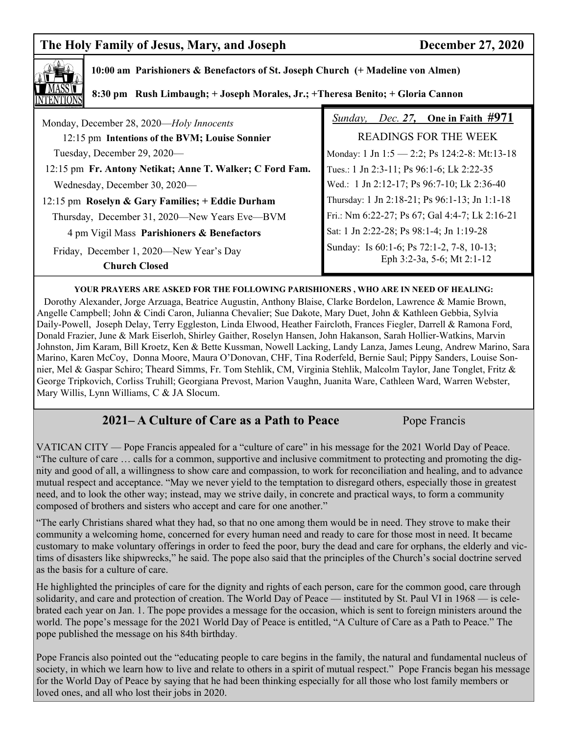### **The Holy Family of Jesus, Mary, and Joseph December 27, 2020**



 **10:00 am Parishioners & Benefactors of St. Joseph Church (+ Madeline von Almen)** 

 **8:30 pm Rush Limbaugh; + Joseph Morales, Jr.; +Theresa Benito; + Gloria Cannon** 

| Monday, December 28, 2020—Holy Innocents                        | <i>Dec.</i> 27, One in Faith $\#971$<br>Sunday,                         |  |
|-----------------------------------------------------------------|-------------------------------------------------------------------------|--|
| 12:15 pm Intentions of the BVM; Louise Sonnier                  | <b>READINGS FOR THE WEEK</b>                                            |  |
| Tuesday, December 29, 2020—                                     | Monday: 1 Jn 1:5 - 2:2; Ps 124:2-8: Mt:13-18                            |  |
| 12:15 pm Fr. Antony Netikat; Anne T. Walker; C Ford Fam.        | Tues.: 1 Jn 2:3-11; Ps 96:1-6; Lk 2:22-35                               |  |
| Wednesday, December 30, 2020-                                   | Wed.: 1 Jn 2:12-17; Ps 96:7-10; Lk 2:36-40                              |  |
| 12:15 pm Roselyn & Gary Families; + Eddie Durham                | Thursday: 1 Jn 2:18-21; Ps 96:1-13; Jn 1:1-18                           |  |
| Thursday, December 31, 2020—New Years Eve—BVM                   | Fri.: Nm 6:22-27; Ps 67; Gal 4:4-7; Lk 2:16-21                          |  |
| 4 pm Vigil Mass Parishioners & Benefactors                      | Sat: 1 Jn 2:22-28; Ps 98:1-4; Jn 1:19-28                                |  |
| Friday, December 1, 2020—New Year's Day<br><b>Church Closed</b> | Sunday: Is 60:1-6; Ps 72:1-2, 7-8, 10-13;<br>Eph 3:2-3a, 5-6; Mt 2:1-12 |  |

#### **YOUR PRAYERS ARE ASKED FOR THE FOLLOWING PARISHIONERS , WHO ARE IN NEED OF HEALING:**

 Dorothy Alexander, Jorge Arzuaga, Beatrice Augustin, Anthony Blaise, Clarke Bordelon, Lawrence & Mamie Brown, Angelle Campbell; John & Cindi Caron, Julianna Chevalier; Sue Dakote, Mary Duet, John & Kathleen Gebbia, Sylvia Daily-Powell, Joseph Delay, Terry Eggleston, Linda Elwood, Heather Faircloth, Frances Fiegler, Darrell & Ramona Ford, Donald Frazier, June & Mark Eiserloh, Shirley Gaither, Roselyn Hansen, John Hakanson, Sarah Hollier-Watkins, Marvin Johnston, Jim Karam, Bill Kroetz, Ken & Bette Kussman, Nowell Lacking, Landy Lanza, James Leung, Andrew Marino, Sara Marino, Karen McCoy, Donna Moore, Maura O'Donovan, CHF, Tina Roderfeld, Bernie Saul; Pippy Sanders, Louise Sonnier, Mel & Gaspar Schiro; Theard Simms, Fr. Tom Stehlik, CM, Virginia Stehlik, Malcolm Taylor, Jane Tonglet, Fritz & George Tripkovich, Corliss Truhill; Georgiana Prevost, Marion Vaughn, Juanita Ware, Cathleen Ward, Warren Webster, Mary Willis, Lynn Williams, C & JA Slocum.

### **2021– A Culture of Care as a Path to Peace** Pope Francis

VATICAN CITY — Pope Francis appealed for a "culture of care" in his message for the 2021 World Day of Peace. "The culture of care … calls for a common, supportive and inclusive commitment to protecting and promoting the dignity and good of all, a willingness to show care and compassion, to work for reconciliation and healing, and to advance mutual respect and acceptance. "May we never yield to the temptation to disregard others, especially those in greatest need, and to look the other way; instead, may we strive daily, in concrete and practical ways, to form a community composed of brothers and sisters who accept and care for one another."

"The early Christians shared what they had, so that no one among them would be in need. They strove to make their community a welcoming home, concerned for every human need and ready to care for those most in need. It became customary to make voluntary offerings in order to feed the poor, bury the dead and care for orphans, the elderly and victims of disasters like shipwrecks," he said. The pope also said that the principles of the Church's social doctrine served as the basis for a culture of care.

He highlighted the principles of care for the dignity and rights of each person, care for the common good, care through solidarity, and care and protection of creation. The World Day of Peace — instituted by St. Paul VI in 1968 — is celebrated each year on Jan. 1. The pope provides a message for the occasion, which is sent to foreign ministers around the world. The pope's message for the 2021 World Day of Peace is entitled, "A Culture of Care as a Path to Peace." The pope published the message on his 84th birthday.

Pope Francis also pointed out the "educating people to care begins in the family, the natural and fundamental nucleus of society, in which we learn how to live and relate to others in a spirit of mutual respect." Pope Francis began his message for the World Day of Peace by saying that he had been thinking especially for all those who lost family members or loved ones, and all who lost their jobs in 2020.